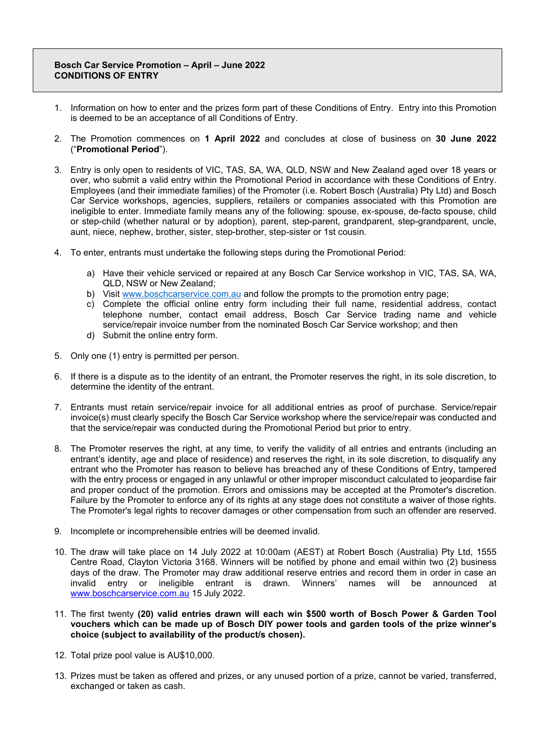## **Bosch Car Service Promotion – April – June 2022 CONDITIONS OF ENTRY**

- 1. Information on how to enter and the prizes form part of these Conditions of Entry. Entry into this Promotion is deemed to be an acceptance of all Conditions of Entry.
- 2. The Promotion commences on **1 April 2022** and concludes at close of business on **30 June 2022** ("**Promotional Period**").
- 3. Entry is only open to residents of VIC, TAS, SA, WA, QLD, NSW and New Zealand aged over 18 years or over, who submit a valid entry within the Promotional Period in accordance with these Conditions of Entry. Employees (and their immediate families) of the Promoter (i.e. Robert Bosch (Australia) Pty Ltd) and Bosch Car Service workshops, agencies, suppliers, retailers or companies associated with this Promotion are ineligible to enter. Immediate family means any of the following: spouse, ex-spouse, de-facto spouse, child or step-child (whether natural or by adoption), parent, step-parent, grandparent, step-grandparent, uncle, aunt, niece, nephew, brother, sister, step-brother, step-sister or 1st cousin.
- 4. To enter, entrants must undertake the following steps during the Promotional Period:
	- a) Have their vehicle serviced or repaired at any Bosch Car Service workshop in VIC, TAS, SA, WA, QLD, NSW or New Zealand;
	- b) Visit [www.boschcarservice.com.au](http://www.boschcarservice.com.au/) and follow the prompts to the promotion entry page;
	- c) Complete the official online entry form including their full name, residential address, contact telephone number, contact email address, Bosch Car Service trading name and vehicle service/repair invoice number from the nominated Bosch Car Service workshop; and then
	- d) Submit the online entry form.
- 5. Only one (1) entry is permitted per person.
- 6. If there is a dispute as to the identity of an entrant, the Promoter reserves the right, in its sole discretion, to determine the identity of the entrant.
- 7. Entrants must retain service/repair invoice for all additional entries as proof of purchase. Service/repair invoice(s) must clearly specify the Bosch Car Service workshop where the service/repair was conducted and that the service/repair was conducted during the Promotional Period but prior to entry.
- 8. The Promoter reserves the right, at any time, to verify the validity of all entries and entrants (including an entrant's identity, age and place of residence) and reserves the right, in its sole discretion, to disqualify any entrant who the Promoter has reason to believe has breached any of these Conditions of Entry, tampered with the entry process or engaged in any unlawful or other improper misconduct calculated to jeopardise fair and proper conduct of the promotion. Errors and omissions may be accepted at the Promoter's discretion. Failure by the Promoter to enforce any of its rights at any stage does not constitute a waiver of those rights. The Promoter's legal rights to recover damages or other compensation from such an offender are reserved.
- 9. Incomplete or incomprehensible entries will be deemed invalid.
- 10. The draw will take place on 14 July 2022 at 10:00am (AEST) at Robert Bosch (Australia) Pty Ltd, 1555 Centre Road, Clayton Victoria 3168. Winners will be notified by phone and email within two (2) business days of the draw. The Promoter may draw additional reserve entries and record them in order in case an invalid entry or ineligible entrant is drawn. Winners' names will be announced at invalid entry or ineligible entrant is drawn. Winners' names will be announced [www.boschcarservice.com.au](http://www.boschcarservice.com.au/) 15 July 2022.
- 11. The first twenty **(20) valid entries drawn will each win \$500 worth of Bosch Power & Garden Tool vouchers which can be made up of Bosch DIY power tools and garden tools of the prize winner's choice (subject to availability of the product/s chosen).**
- 12. Total prize pool value is AU\$10,000.
- 13. Prizes must be taken as offered and prizes, or any unused portion of a prize, cannot be varied, transferred, exchanged or taken as cash.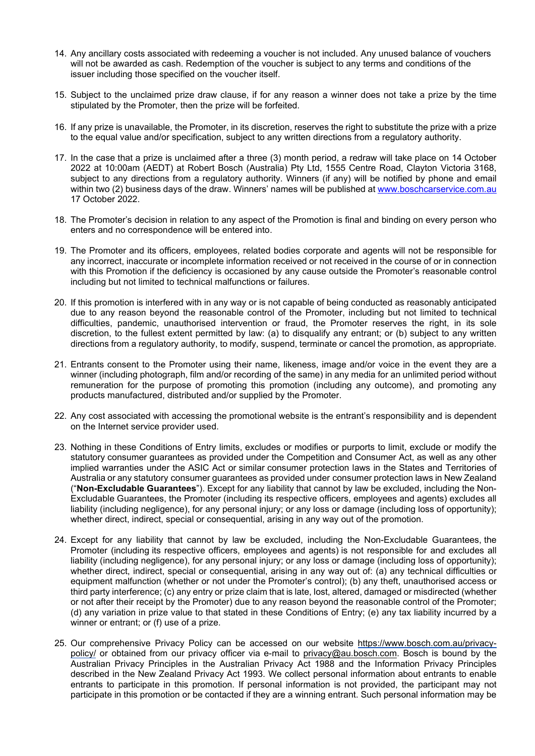- 14. Any ancillary costs associated with redeeming a voucher is not included. Any unused balance of vouchers will not be awarded as cash. Redemption of the voucher is subject to any terms and conditions of the issuer including those specified on the voucher itself.
- 15. Subject to the unclaimed prize draw clause, if for any reason a winner does not take a prize by the time stipulated by the Promoter, then the prize will be forfeited.
- 16. If any prize is unavailable, the Promoter, in its discretion, reserves the right to substitute the prize with a prize to the equal value and/or specification, subject to any written directions from a regulatory authority.
- 17. In the case that a prize is unclaimed after a three (3) month period, a redraw will take place on 14 October 2022 at 10:00am (AEDT) at Robert Bosch (Australia) Pty Ltd, 1555 Centre Road, Clayton Victoria 3168, subject to any directions from a regulatory authority. Winners (if any) will be notified by phone and email within two (2) business days of the draw. Winners' names will be published at [www.boschcarservice.com.au](http://www.boschcarservice.com.au/) 17 October 2022.
- 18. The Promoter's decision in relation to any aspect of the Promotion is final and binding on every person who enters and no correspondence will be entered into.
- 19. The Promoter and its officers, employees, related bodies corporate and agents will not be responsible for any incorrect, inaccurate or incomplete information received or not received in the course of or in connection with this Promotion if the deficiency is occasioned by any cause outside the Promoter's reasonable control including but not limited to technical malfunctions or failures.
- 20. If this promotion is interfered with in any way or is not capable of being conducted as reasonably anticipated due to any reason beyond the reasonable control of the Promoter, including but not limited to technical difficulties, pandemic, unauthorised intervention or fraud, the Promoter reserves the right, in its sole discretion, to the fullest extent permitted by law: (a) to disqualify any entrant; or (b) subject to any written directions from a regulatory authority, to modify, suspend, terminate or cancel the promotion, as appropriate.
- 21. Entrants consent to the Promoter using their name, likeness, image and/or voice in the event they are a winner (including photograph, film and/or recording of the same) in any media for an unlimited period without remuneration for the purpose of promoting this promotion (including any outcome), and promoting any products manufactured, distributed and/or supplied by the Promoter.
- 22. Any cost associated with accessing the promotional website is the entrant's responsibility and is dependent on the Internet service provider used.
- 23. Nothing in these Conditions of Entry limits, excludes or modifies or purports to limit, exclude or modify the statutory consumer guarantees as provided under the Competition and Consumer Act, as well as any other implied warranties under the ASIC Act or similar consumer protection laws in the States and Territories of Australia or any statutory consumer guarantees as provided under consumer protection laws in New Zealand ("**Non-Excludable Guarantees**"). Except for any liability that cannot by law be excluded, including the Non-Excludable Guarantees, the Promoter (including its respective officers, employees and agents) excludes all liability (including negligence), for any personal injury; or any loss or damage (including loss of opportunity); whether direct, indirect, special or consequential, arising in any way out of the promotion.
- 24. Except for any liability that cannot by law be excluded, including the Non-Excludable Guarantees, the Promoter (including its respective officers, employees and agents) is not responsible for and excludes all liability (including negligence), for any personal injury; or any loss or damage (including loss of opportunity); whether direct, indirect, special or consequential, arising in any way out of: (a) any technical difficulties or equipment malfunction (whether or not under the Promoter's control); (b) any theft, unauthorised access or third party interference; (c) any entry or prize claim that is late, lost, altered, damaged or misdirected (whether or not after their receipt by the Promoter) due to any reason beyond the reasonable control of the Promoter; (d) any variation in prize value to that stated in these Conditions of Entry; (e) any tax liability incurred by a winner or entrant; or (f) use of a prize.
- 25. Our [comprehensive Privacy Policy](http://www.bosch.com.au/privacy) can be accessed on our website https://www.bosch.com.au/privacypolicy/ or obtained from our privacy officer via e-mail to [privacy@au.bosch.com.](mailto:privacy@au.bosch.com) Bosch is bound by the Australian Privacy Principles in the Australian Privacy Act 1988 and the Information Privacy Principles described in the New Zealand Privacy Act 1993. We collect personal information about entrants to enable entrants to participate in this promotion. If personal information is not provided, the participant may not participate in this promotion or be contacted if they are a winning entrant. Such personal information may be